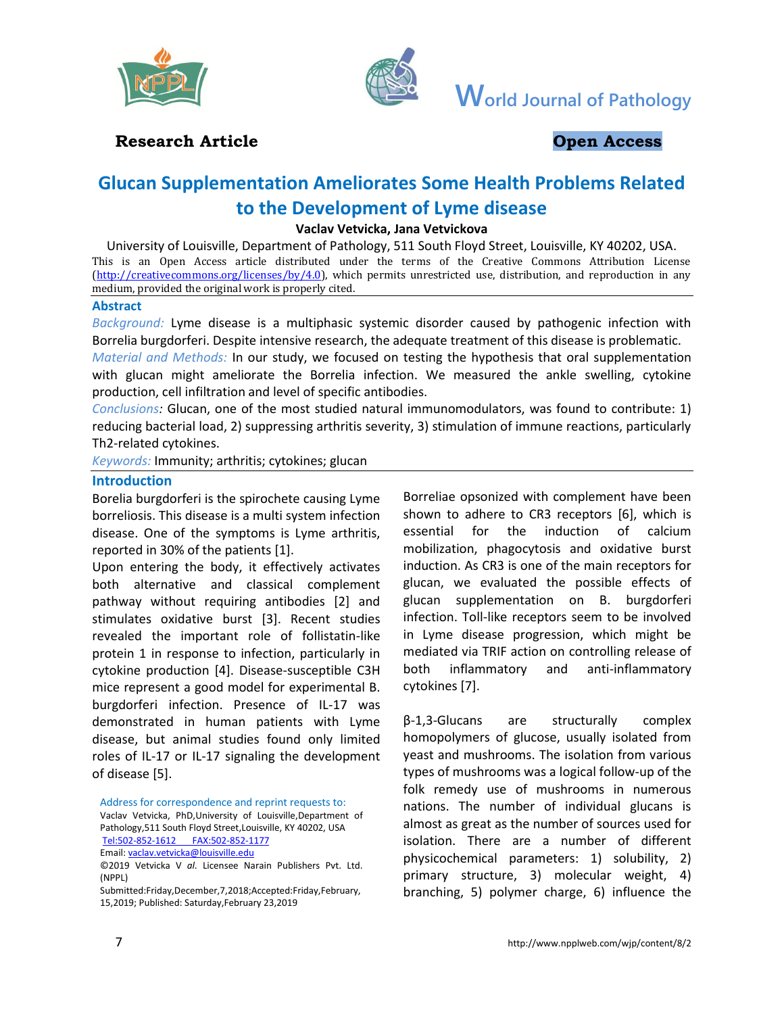



**World Journal of Pathology**

# **Research Article Constanting Constanting Constanting Open Access**

# **Glucan Supplementation Ameliorates Some Health Problems Related to the Development of Lyme disease**

#### **Vaclav Vetvicka, Jana Vetvickova**

University of Louisville, Department of Pathology, 511 South Floyd Street, Louisville, KY 40202, USA. This is an Open Access article distributed under the terms of the Creative Commons Attribution License [\(http://creativecommons.org/licenses/by/4.0\)](http://creativecommons.org/licenses/by/4.0), which permits unrestricted use, distribution, and reproduction in any medium, provided the original work is properly cited.

#### **Abstract**

*Background:* Lyme disease is a multiphasic systemic disorder caused by pathogenic infection with Borrelia burgdorferi. Despite intensive research, the adequate treatment of this disease is problematic.

*Material and Methods:* In our study, we focused on testing the hypothesis that oral supplementation with glucan might ameliorate the Borrelia infection. We measured the ankle swelling, cytokine production, cell infiltration and level of specific antibodies.

*Conclusions:* Glucan, one of the most studied natural immunomodulators, was found to contribute: 1) reducing bacterial load, 2) suppressing arthritis severity, 3) stimulation of immune reactions, particularly Th2-related cytokines.

*Keywords:* Immunity; arthritis; cytokines; glucan

#### **Introduction**

Borelia burgdorferi is the spirochete causing Lyme borreliosis. This disease is a multi system infection disease. One of the symptoms is Lyme arthritis, reported in 30% of the patients [1].

Upon entering the body, it effectively activates both alternative and classical complement pathway without requiring antibodies [2] and stimulates oxidative burst [3]. Recent studies revealed the important role of follistatin-like protein 1 in response to infection, particularly in cytokine production [4]. Disease-susceptible C3H mice represent a good model for experimental B. burgdorferi infection. Presence of IL-17 was demonstrated in human patients with Lyme disease, but animal studies found only limited roles of IL-17 or IL-17 signaling the development of disease [5].

Address for correspondence and reprint requests to: Vaclav Vetvicka, PhD,University of Louisville,Department of Pathology,511 South Floyd Street,Louisville, KY 40202, USA Tel:502-852-1612 [FAX:502-852-1177](Tel:502-852-1612%09FAX:502-852-1177)

Email[: vaclav.vetvicka@louisville.edu](mailto:vaclav.vetvicka@louisville.edu)

Submitted:Friday,December,7,2018;Accepted:Friday,February, 15,2019; Published: Saturday,February 23,2019

Borreliae opsonized with complement have been shown to adhere to CR3 receptors [6], which is essential for the induction of calcium mobilization, phagocytosis and oxidative burst induction. As CR3 is one of the main receptors for glucan, we evaluated the possible effects of glucan supplementation on B. burgdorferi infection. Toll-like receptors seem to be involved in Lyme disease progression, which might be mediated via TRIF action on controlling release of both inflammatory and anti-inflammatory cytokines [7].

β-1,3-Glucans are structurally complex homopolymers of glucose, usually isolated from yeast and mushrooms. The isolation from various types of mushrooms was a logical follow-up of the folk remedy use of mushrooms in numerous nations. The number of individual glucans is almost as great as the number of sources used for isolation. There are a number of different physicochemical parameters: 1) solubility, 2) primary structure, 3) molecular weight, 4) branching, 5) polymer charge, 6) influence the

<sup>©2019</sup> Vetvicka V *al*. Licensee Narain Publishers Pvt. Ltd. (NPPL)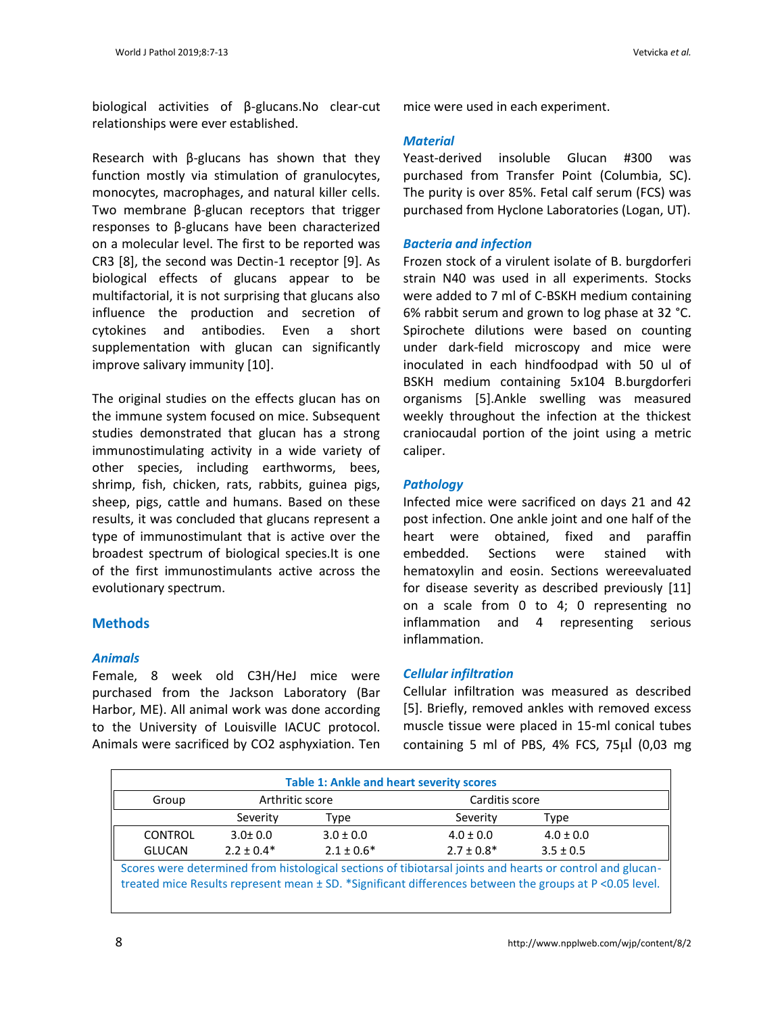biological activities of β-glucans.No clear-cut relationships were ever established.

Research with β-glucans has shown that they function mostly via stimulation of granulocytes, monocytes, macrophages, and natural killer cells. Two membrane β-glucan receptors that trigger responses to β-glucans have been characterized on a molecular level. The first to be reported was CR3 [8], the second was Dectin-1 receptor [9]. As biological effects of glucans appear to be multifactorial, it is not surprising that glucans also influence the production and secretion of cytokines and antibodies. Even a short supplementation with glucan can significantly improve salivary immunity [10].

The original studies on the effects glucan has on the immune system focused on mice. Subsequent studies demonstrated that glucan has a strong immunostimulating activity in a wide variety of other species, including earthworms, bees, shrimp, fish, chicken, rats, rabbits, guinea pigs, sheep, pigs, cattle and humans. Based on these results, it was concluded that glucans represent a type of immunostimulant that is active over the broadest spectrum of biological species.It is one of the first immunostimulants active across the evolutionary spectrum.

# **Methods**

# *Animals*

Female, 8 week old C3H/HeJ mice were purchased from the Jackson Laboratory (Bar Harbor, ME). All animal work was done according to the University of Louisville IACUC protocol. Animals were sacrificed by CO2 asphyxiation. Ten mice were used in each experiment.

#### *Material*

Yeast-derived insoluble Glucan #300 was purchased from Transfer Point (Columbia, SC). The purity is over 85%. Fetal calf serum (FCS) was purchased from Hyclone Laboratories (Logan, UT).

### *Bacteria and infection*

Frozen stock of a virulent isolate of B. burgdorferi strain N40 was used in all experiments. Stocks were added to 7 ml of C-BSKH medium containing 6% rabbit serum and grown to log phase at 32 °C. Spirochete dilutions were based on counting under dark-field microscopy and mice were inoculated in each hindfoodpad with 50 ul of BSKH medium containing 5x104 B.burgdorferi organisms [5].Ankle swelling was measured weekly throughout the infection at the thickest craniocaudal portion of the joint using a metric caliper.

#### *Pathology*

Infected mice were sacrificed on days 21 and 42 post infection. One ankle joint and one half of the heart were obtained, fixed and paraffin embedded. Sections were stained with hematoxylin and eosin. Sections wereevaluated for disease severity as described previously [11] on a scale from 0 to 4; 0 representing no inflammation and 4 representing serious inflammation.

# *Cellular infiltration*

Cellular infiltration was measured as described [5]. Briefly, removed ankles with removed excess muscle tissue were placed in 15-ml conical tubes containing 5 ml of PBS,  $4\%$  FCS,  $75\mu$  (0,03 mg)

| <b>Table 1: Ankle and heart severity scores</b>                                                                                                                                                                       |                 |                |                 |               |  |
|-----------------------------------------------------------------------------------------------------------------------------------------------------------------------------------------------------------------------|-----------------|----------------|-----------------|---------------|--|
| Group                                                                                                                                                                                                                 | Arthritic score |                | Carditis score  |               |  |
|                                                                                                                                                                                                                       | Severity        | Type           | Severity        | Type          |  |
| <b>CONTROL</b>                                                                                                                                                                                                        | $3.0 \pm 0.0$   | $3.0 \pm 0.0$  | $4.0 \pm 0.0$   | $4.0 \pm 0.0$ |  |
| <b>GLUCAN</b>                                                                                                                                                                                                         | $2.2 \pm 0.4*$  | $2.1 \pm 0.6*$ | $2.7 \pm 0.8^*$ | $3.5 \pm 0.5$ |  |
| Scores were determined from histological sections of tibiotarsal joints and hearts or control and glucan-<br>treated mice Results represent mean ± SD. *Significant differences between the groups at P < 0.05 level. |                 |                |                 |               |  |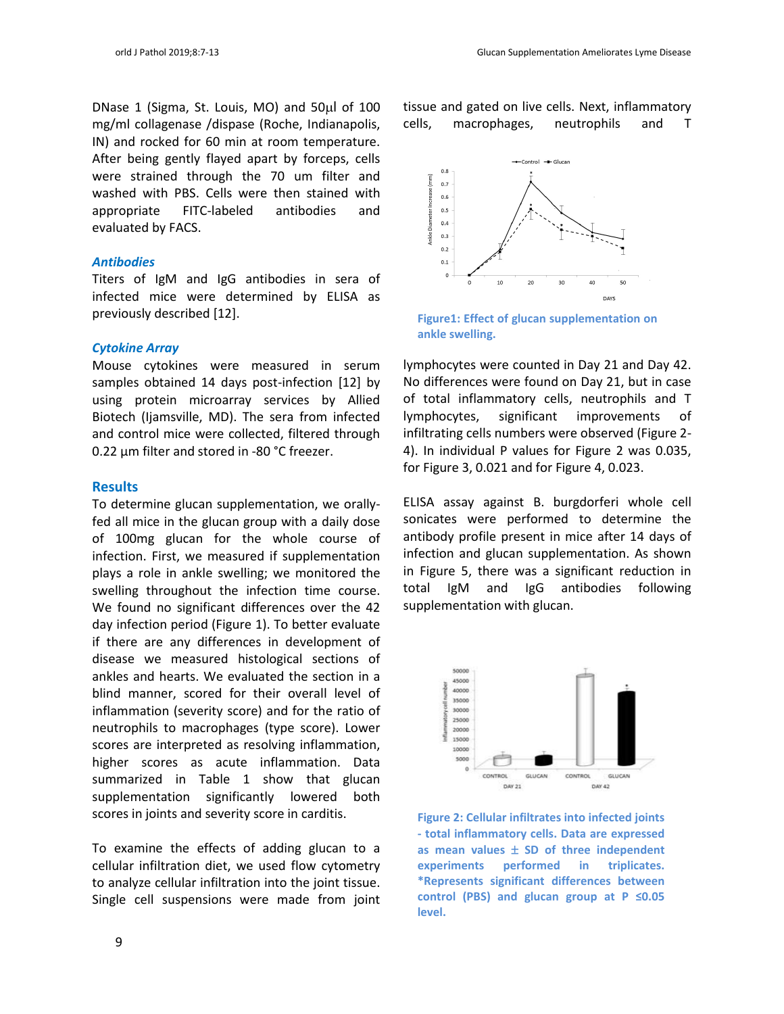DNase 1 (Sigma, St. Louis, MO) and 50ul of 100 mg/ml collagenase /dispase (Roche, Indianapolis, IN) and rocked for 60 min at room temperature. After being gently flayed apart by forceps, cells were strained through the 70 um filter and washed with PBS. Cells were then stained with appropriate FITC-labeled antibodies and evaluated by FACS.

#### *Antibodies*

Titers of IgM and IgG antibodies in sera of infected mice were determined by ELISA as previously described [12].

#### *Cytokine Array*

Mouse cytokines were measured in serum samples obtained 14 days post-infection [12] by using protein microarray services by Allied Biotech (Ijamsville, MD). The sera from infected and control mice were collected, filtered through 0.22 µm filter and stored in -80 °C freezer.

#### **Results**

To determine glucan supplementation, we orallyfed all mice in the glucan group with a daily dose of 100mg glucan for the whole course of infection. First, we measured if supplementation plays a role in ankle swelling; we monitored the swelling throughout the infection time course. We found no significant differences over the 42 day infection period (Figure 1). To better evaluate if there are any differences in development of disease we measured histological sections of ankles and hearts. We evaluated the section in a blind manner, scored for their overall level of inflammation (severity score) and for the ratio of neutrophils to macrophages (type score). Lower scores are interpreted as resolving inflammation, higher scores as acute inflammation. Data summarized in Table 1 show that glucan supplementation significantly lowered both scores in joints and severity score in carditis.

To examine the effects of adding glucan to a cellular infiltration diet, we used flow cytometry to analyze cellular infiltration into the joint tissue. Single cell suspensions were made from joint tissue and gated on live cells. Next, inflammatory cells, macrophages, neutrophils and T



**Figure1: Effect of glucan supplementation on ankle swelling.**

lymphocytes were counted in Day 21 and Day 42. No differences were found on Day 21, but in case of total inflammatory cells, neutrophils and T lymphocytes, significant improvements of infiltrating cells numbers were observed (Figure 2- 4). In individual P values for Figure 2 was 0.035, for Figure 3, 0.021 and for Figure 4, 0.023.

ELISA assay against B. burgdorferi whole cell sonicates were performed to determine the antibody profile present in mice after 14 days of infection and glucan supplementation. As shown in Figure 5, there was a significant reduction in total IgM and IgG antibodies following supplementation with glucan.



**Figure 2: Cellular infiltrates into infected joints - total inflammatory cells. Data are expressed**  as mean values  $\pm$  SD of three independent **experiments performed in triplicates. \*Represents significant differences between control (PBS) and glucan group at P ≤0.05 level.**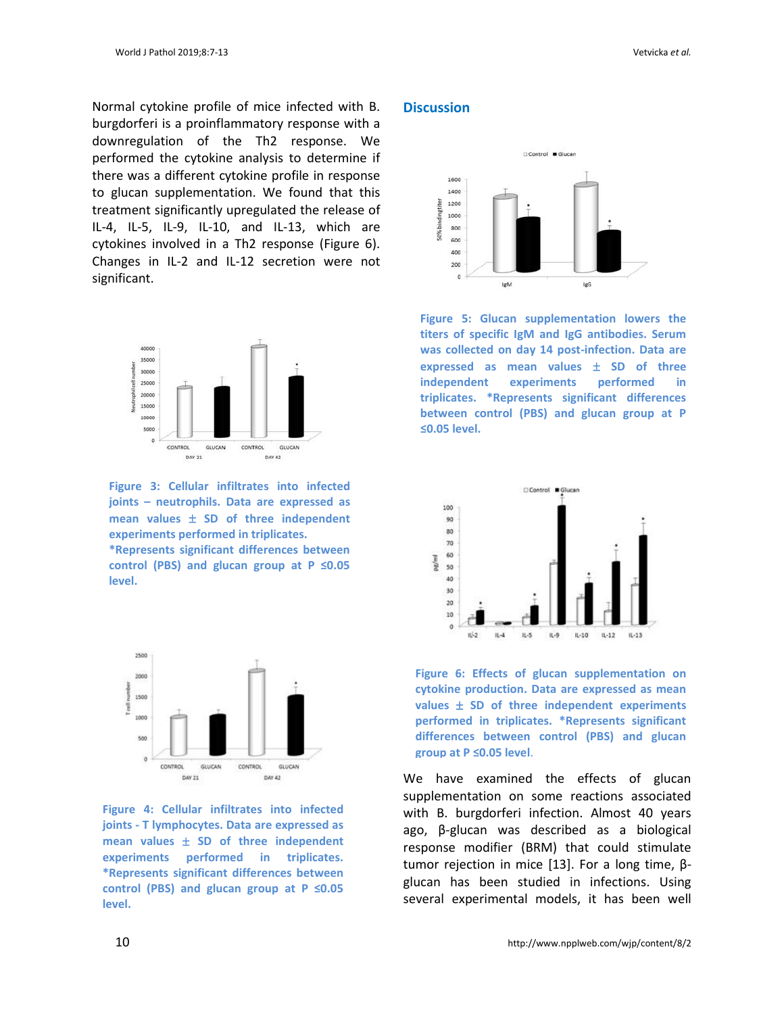Normal cytokine profile of mice infected with B. burgdorferi is a proinflammatory response with a downregulation of the Th2 response. We performed the cytokine analysis to determine if there was a different cytokine profile in response to glucan supplementation. We found that this treatment significantly upregulated the release of IL-4, IL-5, IL-9, IL-10, and IL-13, which are cytokines involved in a Th2 response (Figure 6). Changes in IL-2 and IL-12 secretion were not significant.



**Figure 3: Cellular infiltrates into infected joints – neutrophils. Data are expressed as**  mean values  $\pm$  SD of three independent **experiments performed in triplicates.** 

**\*Represents significant differences between control (PBS) and glucan group at P ≤0.05 level.**



**Figure 4: Cellular infiltrates into infected joints - T lymphocytes. Data are expressed as mean values SD of three independent experiments performed in triplicates. \*Represents significant differences between control (PBS) and glucan group at P ≤0.05 level.**

# **Discussion**



**Figure 5: Glucan supplementation lowers the titers of specific IgM and IgG antibodies. Serum was collected on day 14 post-infection. Data are expressed as mean values**  $\pm$  **SD of three independent** experiments performed **triplicates. \*Represents significant differences between control (PBS) and glucan group at P ≤0.05 level.**



**Figure 6: Effects of glucan supplementation on cytokine production. Data are expressed as mean values SD of three independent experiments performed in triplicates. \*Represents significant differences between control (PBS) and glucan group at P ≤0.05 level**.

We have examined the effects of glucan supplementation on some reactions associated with B. burgdorferi infection. Almost 40 years ago, β-glucan was described as a biological response modifier (BRM) that could stimulate tumor rejection in mice [13]. For a long time, βglucan has been studied in infections. Using several experimental models, it has been well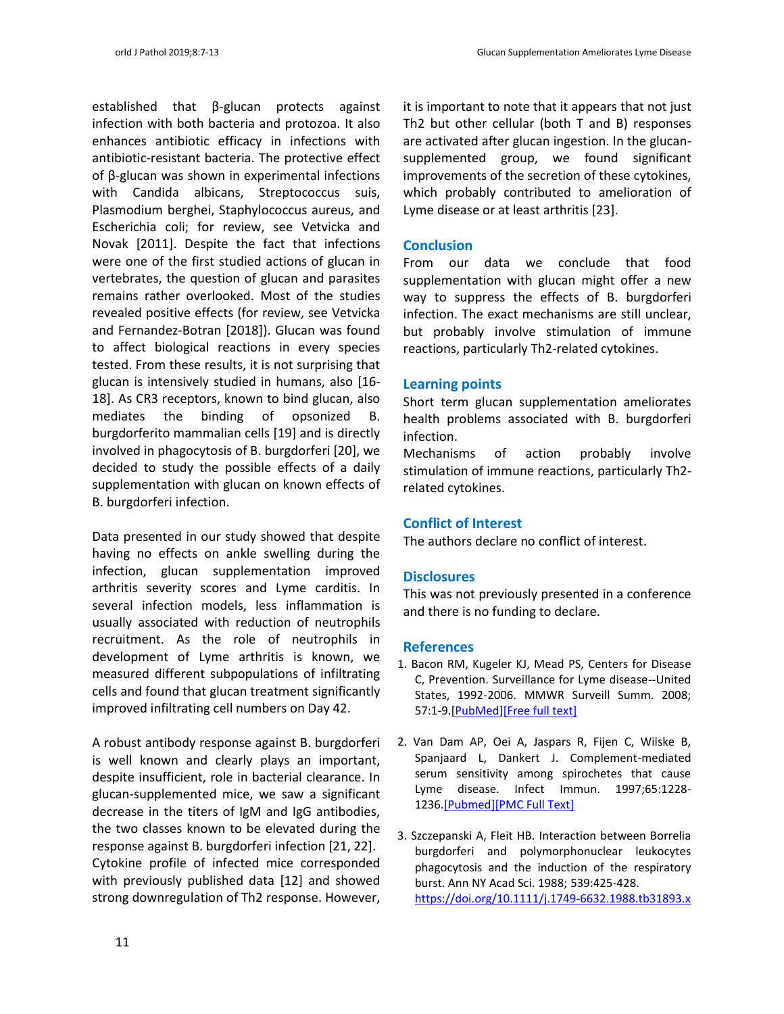established that β-glucan protects against infection with both bacteria and protozoa. It also enhances antibiotic efficacy in infections with antibiotic-resistant bacteria. The protective effect of β-glucan was shown in experimental infections with Candida albicans, Streptococcus suis, Plasmodium berghei, Staphylococcus aureus, and Escherichia coli; for review, see Vetvicka and Novak [2011]. Despite the fact that infections were one of the first studied actions of glucan in vertebrates, the question of glucan and parasites remains rather overlooked. Most of the studies revealed positive effects (for review, see Vetvicka and Fernandez-Botran [2018]). Glucan was found to affect biological reactions in every species tested. From these results, it is not surprising that glucan is intensively studied in humans, also [16- 18]. As CR3 receptors, known to bind glucan, also mediates the binding of opsonized B. burgdorferito mammalian cells [19] and is directly involved in phagocytosis of B. burgdorferi [20], we decided to study the possible effects of a daily supplementation with glucan on known effects of B. burgdorferi infection.

Data presented in our study showed that despite having no effects on ankle swelling during the infection, glucan supplementation improved arthritis severity scores and Lyme carditis. In several infection models, less inflammation is usually associated with reduction of neutrophils recruitment. As the role of neutrophils in development of Lyme arthritis is known, we measured different subpopulations of infiltrating cells and found that glucan treatment significantly improved infiltrating cell numbers on Day 42.

A robust antibody response against B. burgdorferi is well known and clearly plays an important, despite insufficient, role in bacterial clearance. In glucan-supplemented mice, we saw a significant decrease in the titers of IgM and IgG antibodies, the two classes known to be elevated during the response against B. burgdorferi infection [21, 22]. Cytokine profile of infected mice corresponded with previously published data [12] and showed strong downregulation of Th2 response. However,

it is important to note that it appears that not just Th2 but other cellular (both T and B) responses are activated after glucan ingestion. In the glucansupplemented group, we found significant improvements of the secretion of these cytokines, which probably contributed to amelioration of Lyme disease or at least arthritis [23].

# **Conclusion**

From our data we conclude that food supplementation with glucan might offer a new way to suppress the effects of B. burgdorferi infection. The exact mechanisms are still unclear, but probably involve stimulation of immune reactions, particularly Th2-related cytokines.

# **Learning points**

Short term glucan supplementation ameliorates health problems associated with B. burgdorferi infection.

Mechanisms of action probably involve stimulation of immune reactions, particularly Th2 related cytokines.

# **Conflict of Interest**

The authors declare no conflict of interest.

# **Disclosures**

This was not previously presented in a conference and there is no funding to declare.

# **References**

- 1. Bacon RM, Kugeler KJ, Mead PS, Centers for Disease C, Prevention. Surveillance for Lyme disease--United States, 1992-2006. MMWR Surveill Summ. 2008; 57:1-9.[\[PubMed](https://www.ncbi.nlm.nih.gov/pubmed/18830214)[\]\[Free full text\]](https://www.cdc.gov/mmwr/preview/mmwrhtml/ss5710a1.htm)
- 2. Van Dam AP, Oei A, Jaspars R, Fijen C, Wilske B, Spanjaard L, Dankert J. Complement-mediated serum sensitivity among spirochetes that cause Lyme disease. Infect Immun. 1997;65:1228- 1236[.\[Pubmed\]\[PMC Full Text\]](https://www.ncbi.nlm.nih.gov/pubmed/9119456)
- 3. Szczepanski A, Fleit HB. Interaction between Borrelia burgdorferi and polymorphonuclear leukocytes phagocytosis and the induction of the respiratory burst. Ann NY Acad Sci. 1988; 539:425-428. <https://doi.org/10.1111/j.1749-6632.1988.tb31893.x>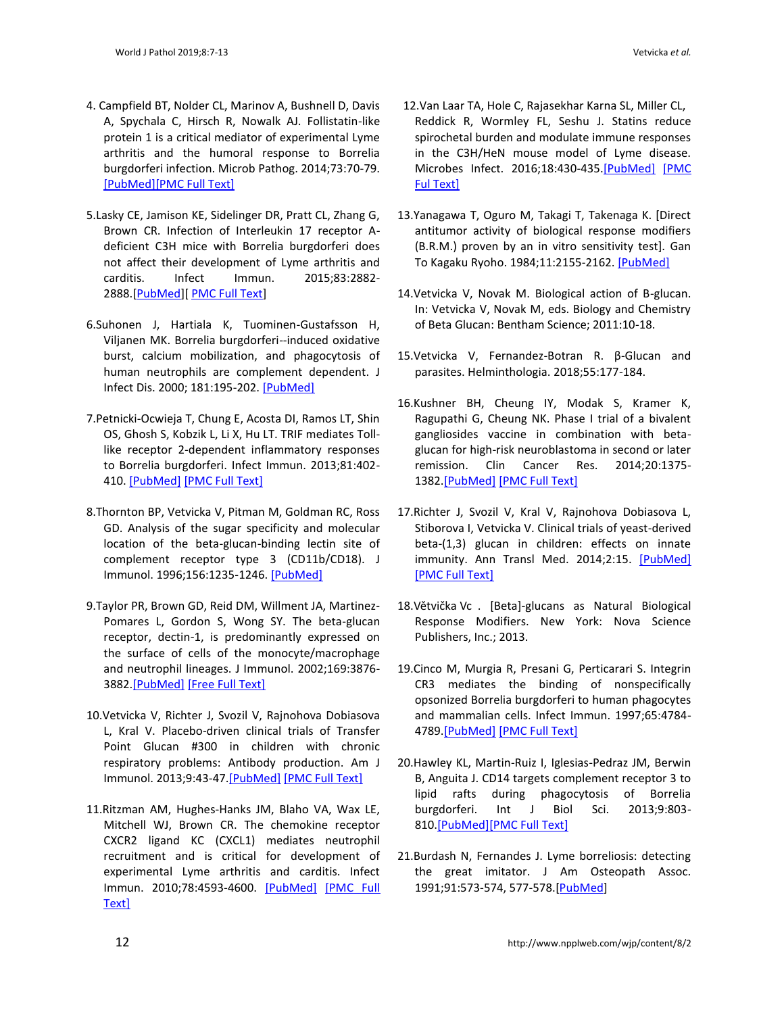- 4. Campfield BT, Nolder CL, Marinov A, Bushnell D, Davis A, Spychala C, Hirsch R, Nowalk AJ. Follistatin-like protein 1 is a critical mediator of experimental Lyme arthritis and the humoral response to Borrelia burgdorferi infection. Microb Pathog. 2014;73:70-79. [\[PubMed\]\[PMC Full Text\]](https://www.ncbi.nlm.nih.gov/pubmed/24768929)
- 5.Lasky CE, Jamison KE, Sidelinger DR, Pratt CL, Zhang G, Brown CR. Infection of Interleukin 17 receptor Adeficient C3H mice with Borrelia burgdorferi does not affect their development of Lyme arthritis and carditis. Infect Immun. 2015;83:2882- 2888.[\[PubMed\]](https://www.ncbi.nlm.nih.gov/pubmed/25939508)[\[ PMC Full Text\]](https://www.ncbi.nlm.nih.gov/pmc/articles/PMC%20PMC4468557)
- 6.Suhonen J, Hartiala K, Tuominen-Gustafsson H, Viljanen MK. Borrelia burgdorferi--induced oxidative burst, calcium mobilization, and phagocytosis of human neutrophils are complement dependent. J Infect Dis. 2000; 181:195-202. [\[PubMed\]](https://www.ncbi.nlm.nih.gov/pubmed/10608767)
- 7.Petnicki-Ocwieja T, Chung E, Acosta DI, Ramos LT, Shin OS, Ghosh S, Kobzik L, Li X, Hu LT. TRIF mediates Tolllike receptor 2-dependent inflammatory responses to Borrelia burgdorferi. Infect Immun. 2013;81:402- 410. [\[PubMed\]](https://www.ncbi.nlm.nih.gov/pubmed/23166161) [\[PMC Full Text\]](https://www.ncbi.nlm.nih.gov/pmc/articles/PMC3553797/)
- 8.Thornton BP, Vetvicka V, Pitman M, Goldman RC, Ross GD. Analysis of the sugar specificity and molecular location of the beta-glucan-binding lectin site of complement receptor type 3 (CD11b/CD18). J Immunol. 1996;156:1235-1246. [\[PubMed\]](https://www.ncbi.nlm.nih.gov/pubmed/8558003)
- 9.Taylor PR, Brown GD, Reid DM, Willment JA, Martinez-Pomares L, Gordon S, Wong SY. The beta-glucan receptor, dectin-1, is predominantly expressed on the surface of cells of the monocyte/macrophage and neutrophil lineages. J Immunol. 2002;169:3876- 3882[.\[PubMed\]](https://www.ncbi.nlm.nih.gov/pubmed/12244185) [\[Free Full Text\]](http://www.jimmunol.org/content/169/7/3876.long)
- 10.Vetvicka V, Richter J, Svozil V, Rajnohova Dobiasova L, Kral V. Placebo-driven clinical trials of Transfer Point Glucan #300 in children with chronic respiratory problems: Antibody production. Am J Immunol. 2013;9:43-47[.\[PubMed\]](https://www.ncbi.nlm.nih.gov/pubmed/25332970) [\[PMC Full Text\]](https://www.ncbi.nlm.nih.gov/pmc/articles/PMC4200675/)
- 11.Ritzman AM, Hughes-Hanks JM, Blaho VA, Wax LE, Mitchell WJ, Brown CR. The chemokine receptor CXCR2 ligand KC (CXCL1) mediates neutrophil recruitment and is critical for development of experimental Lyme arthritis and carditis. Infect Immun. 2010;78:4593-4600. [\[PubMed\]](https://www.ncbi.nlm.nih.gov/pubmed/20823213) [\[PMC Full](https://www.ncbi.nlm.nih.gov/pmc/articles/PMC2976349/)  [Text\]](https://www.ncbi.nlm.nih.gov/pmc/articles/PMC2976349/)
- 12.Van Laar TA, Hole C, Rajasekhar Karna SL, Miller CL, Reddick R, Wormley FL, Seshu J. Statins reduce spirochetal burden and modulate immune responses in the C3H/HeN mouse model of Lyme disease. Microbes Infect. 2016;18:430-435[.\[PubMed\]](https://www.ncbi.nlm.nih.gov/pubmed/26993029) [\[PMC](https://www.ncbi.nlm.nih.gov/pmc/articles/%20PMC4975942/)  [Ful Text\]](https://www.ncbi.nlm.nih.gov/pmc/articles/%20PMC4975942/)
- 13.Yanagawa T, Oguro M, Takagi T, Takenaga K. [Direct antitumor activity of biological response modifiers (B.R.M.) proven by an in vitro sensitivity test]. Gan To Kagaku Ryoho. 1984;11:2155-2162. [\[PubMed\]](https://www.ncbi.nlm.nih.gov/pubmed/6486831)
- 14.Vetvicka V, Novak M. Biological action of B-glucan. In: Vetvicka V, Novak M, eds. Biology and Chemistry of Beta Glucan: Bentham Science; 2011:10-18.
- 15.Vetvicka V, Fernandez-Botran R. β-Glucan and parasites. Helminthologia. 2018;55:177-184.
- 16.Kushner BH, Cheung IY, Modak S, Kramer K, Ragupathi G, Cheung NK. Phase I trial of a bivalent gangliosides vaccine in combination with betaglucan for high-risk neuroblastoma in second or later remission. Clin Cancer Res. 2014;20:1375- 1382[.\[PubMed\]](https://www.ncbi.nlm.nih.gov/pubmed/24520094) [\[PMC Full Text\]](https://www.ncbi.nlm.nih.gov/pmc/articles/PMC5592799/)
- 17.Richter J, Svozil V, Kral V, Rajnohova Dobiasova L, Stiborova I, Vetvicka V. Clinical trials of yeast-derived beta-(1,3) glucan in children: effects on innate immunity. Ann Transl Med. 2014;2:15. [\[PubMed\]](https://www.ncbi.nlm.nih.gov/pubmed/25332991) [\[PMC Full Text\]](https://www.ncbi.nlm.nih.gov/pmc/articles/PMC4202474/)
- 18.Větvička Vc . [Beta]-glucans as Natural Biological Response Modifiers. New York: Nova Science Publishers, Inc.; 2013.
- 19.Cinco M, Murgia R, Presani G, Perticarari S. Integrin CR3 mediates the binding of nonspecifically opsonized Borrelia burgdorferi to human phagocytes and mammalian cells. Infect Immun. 1997;65:4784- 4789[.\[PubMed\]](https://www.ncbi.nlm.nih.gov/pubmed/9353065) [\[PMC Full Text\]](https://www.ncbi.nlm.nih.gov/pmc/articles/PMC175686/pdf/654784.pdf)
- 20.Hawley KL, Martin-Ruiz I, Iglesias-Pedraz JM, Berwin B, Anguita J. CD14 targets complement receptor 3 to lipid rafts during phagocytosis of Borrelia burgdorferi. Int J Biol Sci. 2013;9:803- 81[0.\[PubMed\]\[PMC Full Text\]](https://www.ncbi.nlm.nih.gov/pubmed/23983613)
- 21.Burdash N, Fernandes J. Lyme borreliosis: detecting the great imitator. J Am Osteopath Assoc. 1991;91:573-574, 577-578.[\[PubMed\]](https://www.ncbi.nlm.nih.gov/pubmed/1874654)